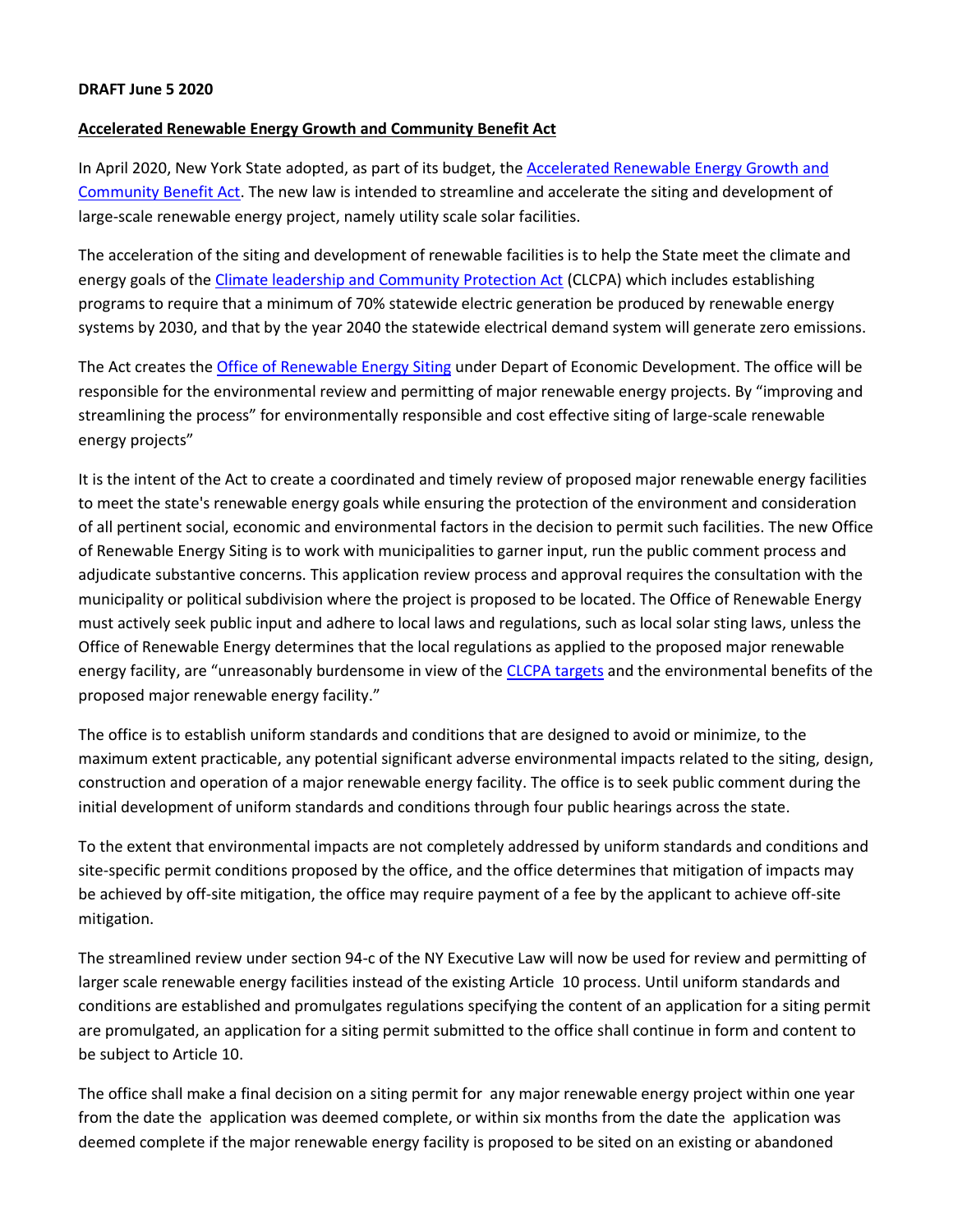## **Accelerated Renewable Energy Growth and Community Benefit Act**

In April 2020, New York State adopted, as part of its budget, th[e Accelerated Renewable Energy Growth and](https://nyassembly.gov/2020budget/2020budget/A9508b.pdf) [Community Benefit Act.](https://nyassembly.gov/2020budget/2020budget/A9508b.pdf) The new law is intended to streamline and accelerate the siting and development of large-scale renewable energy project, namely utility scale solar facilities.

The acceleration of the siting and development of renewable facilities is to help the State meet the climate and energy goals of the [Climate leadership and Community Protection Act](https://climate.ny.gov/) (CLCPA) which includes establishing programs to require that a minimum of 70% statewide electric generation be produced by renewable energy systems by 2030, and that by the year 2040 the statewide electrical demand system will generate zero emissions.

The Act creates the [Office of Renewable Energy Siting](https://www.nyserda.ny.gov/About/Newsroom/2020-Announcements/2020-04-03-NEW-YORK-STATE-ANNOUNCES-PASSAGE-OF-ACCELERATED-RENEWABLE-ENERGY-GROWTH-AND-COMMUNITY-BENEFIT-ACT-AS-PART-OF-2020-2021-ENACTED-STATE-BUDGET) under Depart of Economic Development. The office will be responsible for the environmental review and permitting of major renewable energy projects. By "improving and streamlining the process" for environmentally responsible and cost effective siting of large-scale renewable energy projects"

It is the intent of the Act to create a coordinated and timely review of proposed major renewable energy facilities to meet the state's renewable energy goals while ensuring the protection of the environment and consideration of all pertinent social, economic and environmental factors in the decision to permit such facilities. The new Office of Renewable Energy Siting is to work with municipalities to garner input, run the public comment process and adjudicate substantive concerns. This application review process and approval requires the consultation with the municipality or political subdivision where the project is proposed to be located. The Office of Renewable Energy must actively seek public input and adhere to local laws and regulations, such as local solar sting laws, unless the Office of Renewable Energy determines that the local regulations as applied to the proposed major renewable energy facility, are "unreasonably burdensome in view of th[e CLCPA targets](https://www.dec.ny.gov/energy/99223.html) and the environmental benefits of the proposed major renewable energy facility."

The office is to establish uniform standards and conditions that are designed to avoid or minimize, to the maximum extent practicable, any potential significant adverse environmental impacts related to the siting, design, construction and operation of a major renewable energy facility. The office is to seek public comment during the initial development of uniform standards and conditions through four public hearings across the state.

To the extent that environmental impacts are not completely addressed by uniform standards and conditions and site-specific permit conditions proposed by the office, and the office determines that mitigation of impacts may be achieved by off-site mitigation, the office may require payment of a fee by the applicant to achieve off-site mitigation.

The streamlined review under section 94-c of the NY Executive Law will now be used for review and permitting of larger scale renewable energy facilities instead of the existing Article 10 process. Until uniform standards and conditions are established and promulgates regulations specifying the content of an application for a siting permit are promulgated, an application for a siting permit submitted to the office shall continue in form and content to be subject to Article 10.

The office shall make a final decision on a siting permit for any major renewable energy project within one year from the date the application was deemed complete, or within six months from the date the application was deemed complete if the major renewable energy facility is proposed to be sited on an existing or abandoned